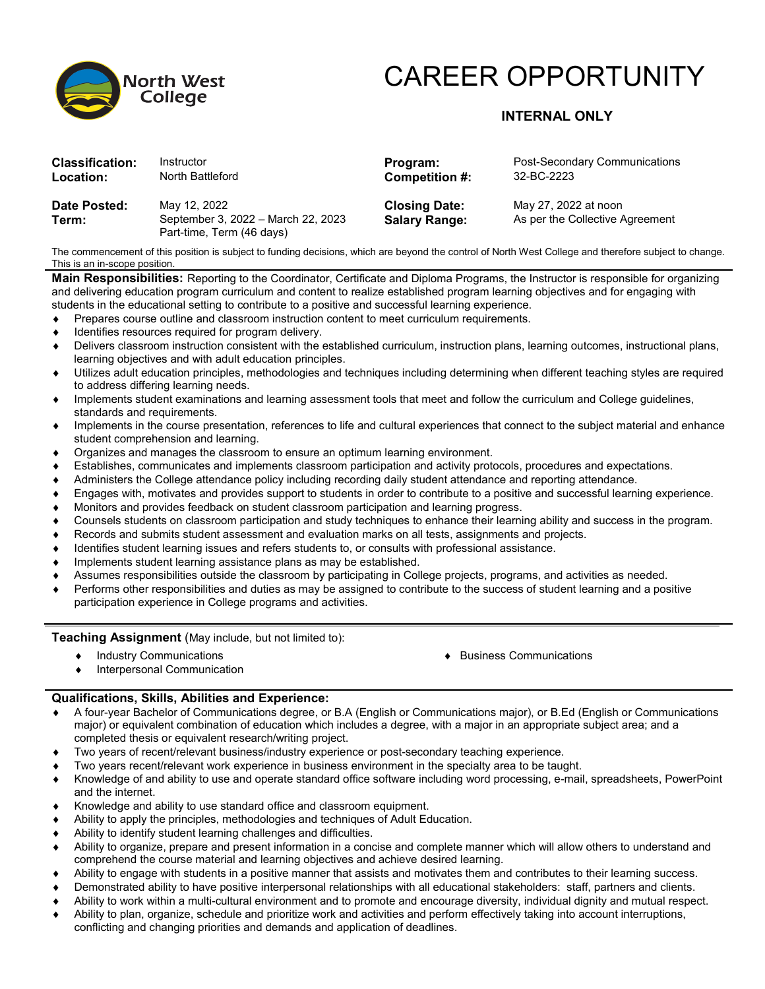

# CAREER OPPORTUNITY

## **INTERNAL ONLY**

| <b>Classification:</b> | Instructor                                                                      | Program:                                     | Post-Secondary Communications                           |
|------------------------|---------------------------------------------------------------------------------|----------------------------------------------|---------------------------------------------------------|
| Location:              | North Battleford                                                                | Competition #:                               | 32-BC-2223                                              |
| Date Posted:<br>Term:  | May 12, 2022<br>September 3, 2022 - March 22, 2023<br>Part-time, Term (46 days) | <b>Closing Date:</b><br><b>Salary Range:</b> | May 27, 2022 at noon<br>As per the Collective Agreement |

The commencement of this position is subject to funding decisions, which are beyond the control of North West College and therefore subject to change. This is an in-scope position.

**Main Responsibilities:** Reporting to the Coordinator, Certificate and Diploma Programs, the Instructor is responsible for organizing and delivering education program curriculum and content to realize established program learning objectives and for engaging with students in the educational setting to contribute to a positive and successful learning experience.

- ♦ Prepares course outline and classroom instruction content to meet curriculum requirements.
- Identifies resources required for program delivery.
- Delivers classroom instruction consistent with the established curriculum, instruction plans, learning outcomes, instructional plans, learning objectives and with adult education principles.
- Utilizes adult education principles, methodologies and techniques including determining when different teaching styles are required to address differing learning needs.
- Implements student examinations and learning assessment tools that meet and follow the curriculum and College guidelines, standards and requirements.
- ♦ Implements in the course presentation, references to life and cultural experiences that connect to the subject material and enhance student comprehension and learning.
- ♦ Organizes and manages the classroom to ensure an optimum learning environment.
- Establishes, communicates and implements classroom participation and activity protocols, procedures and expectations.
- Administers the College attendance policy including recording daily student attendance and reporting attendance.
- ♦ Engages with, motivates and provides support to students in order to contribute to a positive and successful learning experience.
- Monitors and provides feedback on student classroom participation and learning progress.
- Counsels students on classroom participation and study techniques to enhance their learning ability and success in the program.
- ♦ Records and submits student assessment and evaluation marks on all tests, assignments and projects.
- Identifies student learning issues and refers students to, or consults with professional assistance.
- ♦ Implements student learning assistance plans as may be established.
- Assumes responsibilities outside the classroom by participating in College projects, programs, and activities as needed.
- Performs other responsibilities and duties as may be assigned to contribute to the success of student learning and a positive participation experience in College programs and activities.

### **Teaching Assignment** (May include, but not limited to):

- ♦ Industry Communications ♦ Business Communications
- Interpersonal Communication

### **Qualifications, Skills, Abilities and Experience:**

- ♦ A four-year Bachelor of Communications degree, or B.A (English or Communications major), or B.Ed (English or Communications major) or equivalent combination of education which includes a degree, with a major in an appropriate subject area; and a completed thesis or equivalent research/writing project.
- Two years of recent/relevant business/industry experience or post-secondary teaching experience.
- Two years recent/relevant work experience in business environment in the specialty area to be taught.
- ♦ Knowledge of and ability to use and operate standard office software including word processing, e-mail, spreadsheets, PowerPoint and the internet.
- Knowledge and ability to use standard office and classroom equipment.
- Ability to apply the principles, methodologies and techniques of Adult Education.
- Ability to identify student learning challenges and difficulties.
- Ability to organize, prepare and present information in a concise and complete manner which will allow others to understand and comprehend the course material and learning objectives and achieve desired learning.
- Ability to engage with students in a positive manner that assists and motivates them and contributes to their learning success.
- Demonstrated ability to have positive interpersonal relationships with all educational stakeholders: staff, partners and clients.
- Ability to work within a multi-cultural environment and to promote and encourage diversity, individual dignity and mutual respect.
- Ability to plan, organize, schedule and prioritize work and activities and perform effectively taking into account interruptions, conflicting and changing priorities and demands and application of deadlines.